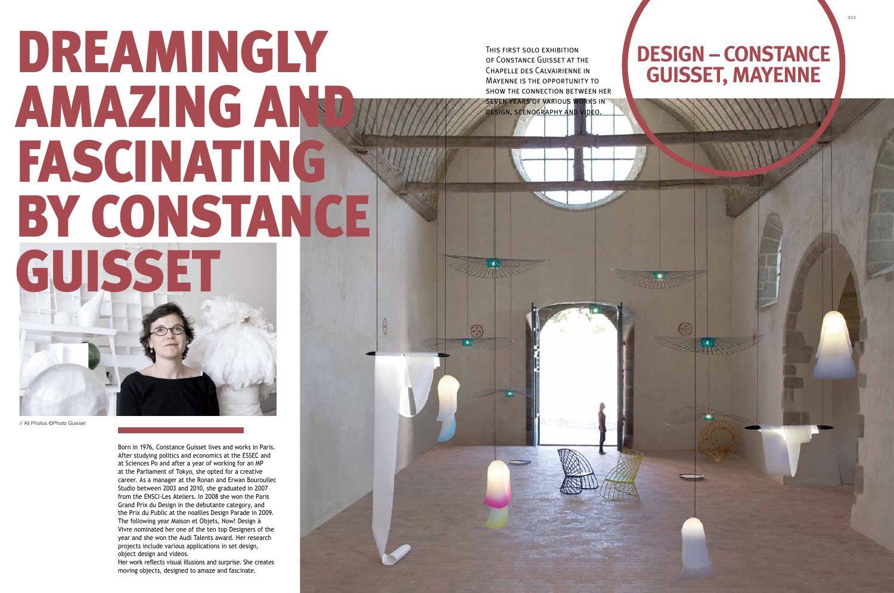*\_*203

Born in 1976, Constance Guisset lives and works in Paris. After studying politics and economics at the ESSEC and at Sciences Po and after a year of working for an MP at the Parliament of Tokyo, she opted for a creative career. As a manager at the Ronan and Erwan Bouroullec Studio between 2003 and 2010, she graduated in 2007 from the ENSCI-Les Ateliers. In 2008 she won the Paris Grand Prix du Design in the debutante category, and the Prix du Public at the noailles Design Parade in 2009. The following year Maison et Objets, Now! Design à Vivre nominated her one of the ten top Designers of the year and she won the Audi Talents award. Her research projects include various applications in set design, object design and videos.

Her work reflects visual illusions and surprise. She creates moving objects, designed to amaze and fascinate.

# DREAMINGLY amazing and fascinating BY CONSTANCE GUISSET

// All Photos ©Photo Guisset

## **Design – Constance Guisset, Mayenne**

This first solo exhibition of Constance Guisset at the Chapelle des Calvairienne in Mayenne is the opportunity to show the connection between her seven years of various works in design, scenography and video.

 $\odot$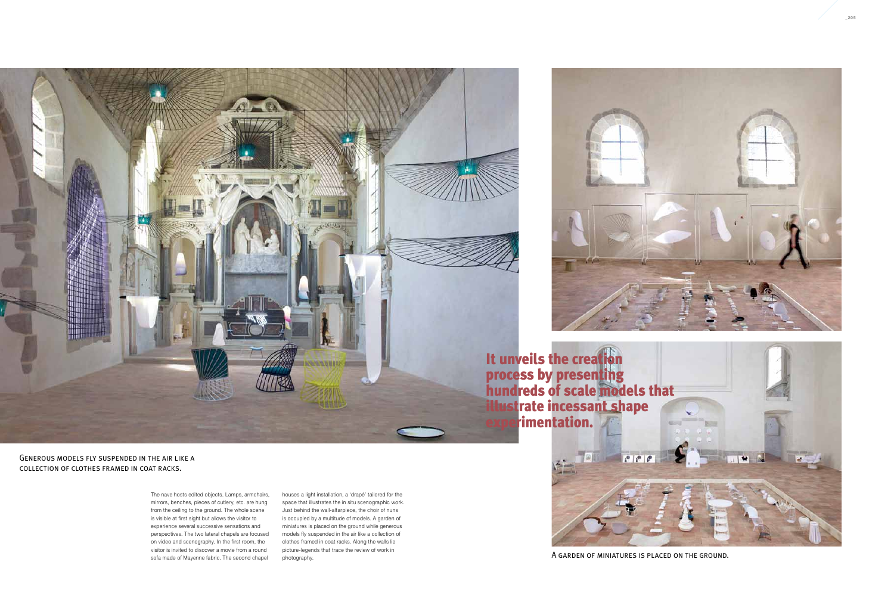The nave hosts edited objects. Lamps, armchairs, mirrors, benches, pieces of cutlery, etc. are hung from the ceiling to the ground. The whole scene is visible at first sight but allows the visitor to experience several successive sensations and perspectives. The two lateral chapels are focused on video and scenography. In the first room, the visitor is invited to discover a movie from a round sofa made of Mayenne fabric. The second chapel

houses a light installation, a 'drapé' tailored for the space that illustrates the in situ scenographic work. Just behind the wall-altarpiece, the choir of nuns is occupied by a multitude of models. A garden of miniatures is placed on the ground while generous models fly suspended in the air like a collection of clothes framed in coat racks. Along the walls lie picture-legends that trace the review of work in photography.







A garden of miniatures is placed on the ground.

Generous models fly suspended in the air like a collection of clothes framed in coat racks.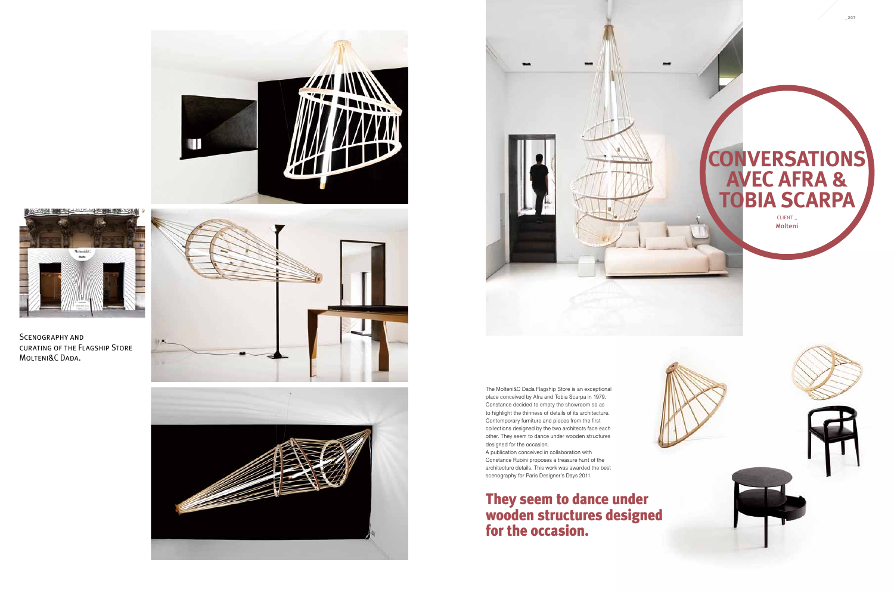place conceived by Afra and Tobia Scarpa in 1979. Constance decided to empty the showroom so as to highlight the thinness of details of its architecture. Contemporary furniture and pieces from the first collections designed by the two architects face each other. They seem to dance under wooden structures designed for the occasion.







Scenography and curating of the Flagship Store MOLTENI&C DADA.



Constance Rubini proposes a treasure hunt of the scenography for Paris Designer's Days 2011.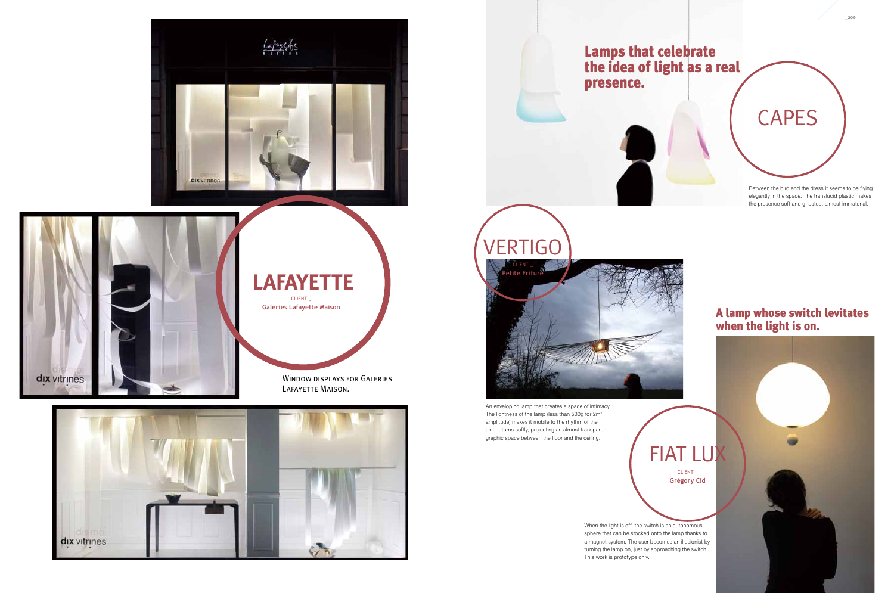*\_*209

Window displays for Galeries Lafayette Maison.



elegantly in the space. The translucid plastic makes the presence soft and ghosted, almost immaterial.

An enveloping lamp that creates a space of intimacy. The lightness of the lamp (less than 500g for  $2m^2$ amplitude) makes it mobile to the rhythm of the air – it turns softly, projecting an almost transparent graphic space between the floor and the ceiling.



**CLIENT Galeries Lafayette Maison**

> When the light is off, the switch is an autonomous sphere that can be stocked onto the lamp thanks to a magnet system. The user becomes an illusionist by turning the lamp on, just by approaching the switch. This work is prototype only.

#### A lamp whose switch levitates when the light is on.





Client \_ **Grégory Cid**





## **Lafayette**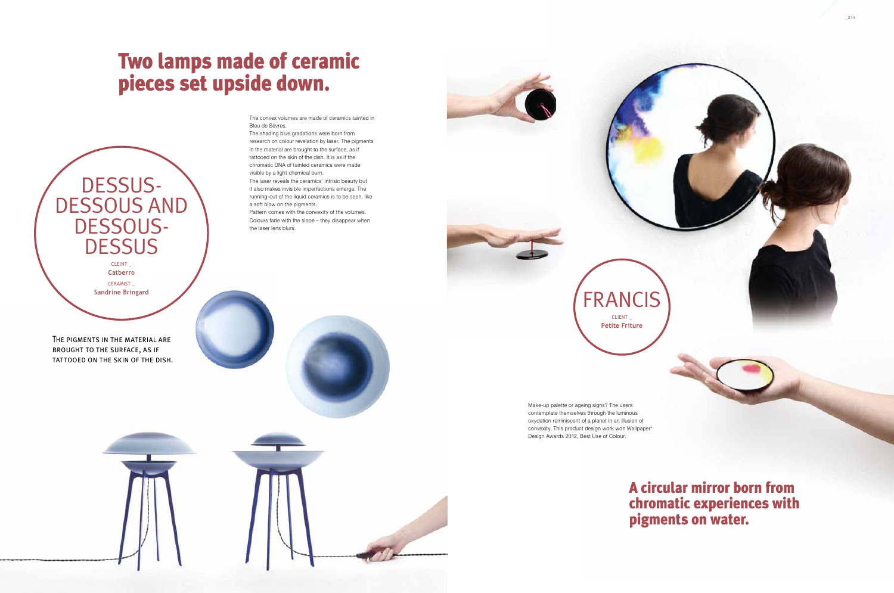Make-up palette or ageing signs? The users contemplate themselves through the luminous oxydation reminiscent of a planet in an illusion of convexity. This product design work won Wallpaper\* Design Awards 2012, Best Use of Colour.

**FRANCIS** 



The shading blue gradations were born from research on colour revelation by laser. The pigments in the material are brought to the surface, as if tattooed on the skin of the dish. It is as if the chromatic DNA of tainted ceramics were made visible by a light chemical burn.

The laser reveals the ceramics' intrisic beauty but it also makes invisible imperfections emerge. The running-out of the liquid ceramics is to be seen, like a soft blow on the pigments.

Pattern comes with the convexity of the volumes. Colours fade with the slope – they disappear when the laser lens blurs.

Cleint \_ **Catberro**

## Two lamps made of ceramic pieces set upside down.

Ceramist \_ **Sandrine Bringard** The pigments in the material are brought to the surface, as if

TATTOOED ON THE SKIN OF THE DISH.

DESSUS-<br>DESSOUS AND

DESSOUS-<br>DESSUS

Client \_ **Petite Friture**

### A circular mirror born from chromatic experiences with pigments on water.